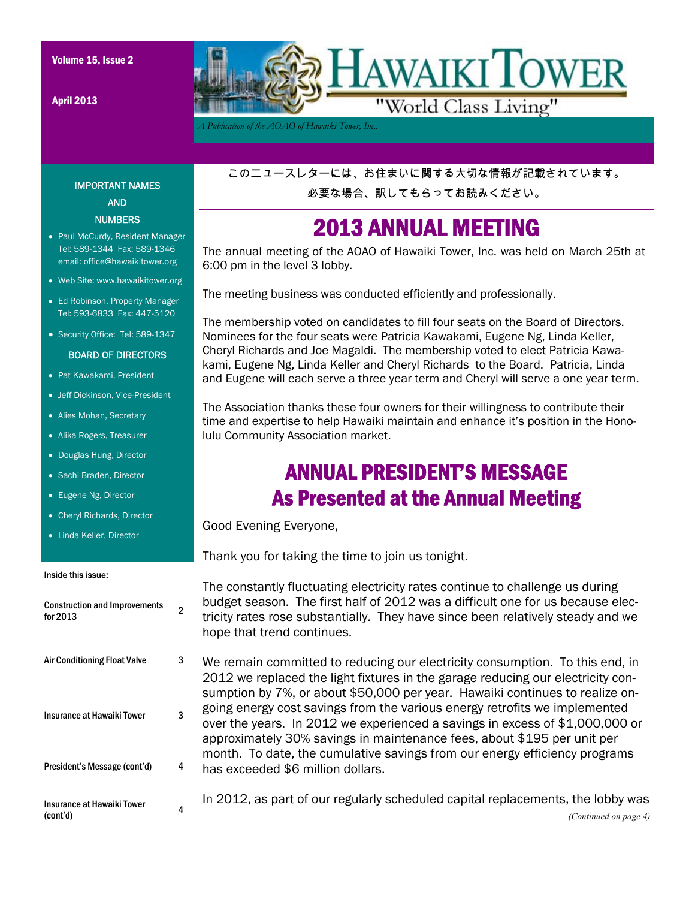April 2013



*A Publication of the AOAO of Hawaiki Tower, Inc..* 

## IMPORTANT NAMES AND NUMBERS

- Paul McCurdy, Resident Manager Tel: 589-1344 Fax: 589-1346 email: office@hawaikitower.org
- Web Site: www.hawaikitower.org
- Ed Robinson, Property Manager Tel: 593-6833 Fax: 447-5120
- Security Office: Tel: 589-1347

#### BOARD OF DIRECTORS

- Pat Kawakami, President
- Jeff Dickinson, Vice-President
- Alies Mohan, Secretary
- Alika Rogers, Treasurer
- Douglas Hung, Director
- Sachi Braden, Director
- Eugene Ng, Director
- Cheryl Richards, Director
- Linda Keller, Director

#### Inside this issue:

| <b>Construction and Improvements</b><br>for 2013 | 2 |  |
|--------------------------------------------------|---|--|
| <b>Air Conditioning Float Valve</b>              | 3 |  |
| Insurance at Hawaiki Tower                       | 3 |  |
| President's Message (cont'd)                     | 4 |  |
| Insurance at Hawaiki Tower<br>(cont'd)           | 4 |  |

このニュースレターには、お住まいに関する大切な情報が記載されています。

必要な場合、訳してもらってお読みください。

## 2013 ANNUAL MEETING

The annual meeting of the AOAO of Hawaiki Tower, Inc. was held on March 25th at 6:00 pm in the level 3 lobby.

The meeting business was conducted efficiently and professionally.

The membership voted on candidates to fill four seats on the Board of Directors. Nominees for the four seats were Patricia Kawakami, Eugene Ng, Linda Keller, Cheryl Richards and Joe Magaldi. The membership voted to elect Patricia Kawakami, Eugene Ng, Linda Keller and Cheryl Richards to the Board. Patricia, Linda and Eugene will each serve a three year term and Cheryl will serve a one year term.

The Association thanks these four owners for their willingness to contribute their time and expertise to help Hawaiki maintain and enhance it's position in the Honolulu Community Association market.

## ANNUAL PRESIDENT'S MESSAGE As Presented at the Annual Meeting

Good Evening Everyone,

Thank you for taking the time to join us tonight.

The constantly fluctuating electricity rates continue to challenge us during budget season. The first half of 2012 was a difficult one for us because electricity rates rose substantially. They have since been relatively steady and we hope that trend continues.

We remain committed to reducing our electricity consumption. To this end, in 2012 we replaced the light fixtures in the garage reducing our electricity consumption by 7%, or about \$50,000 per year. Hawaiki continues to realize ongoing energy cost savings from the various energy retrofits we implemented over the years. In 2012 we experienced a savings in excess of \$1,000,000 or approximately 30% savings in maintenance fees, about \$195 per unit per month. To date, the cumulative savings from our energy efficiency programs has exceeded \$6 million dollars.

In 2012, as part of our regularly scheduled capital replacements, the lobby was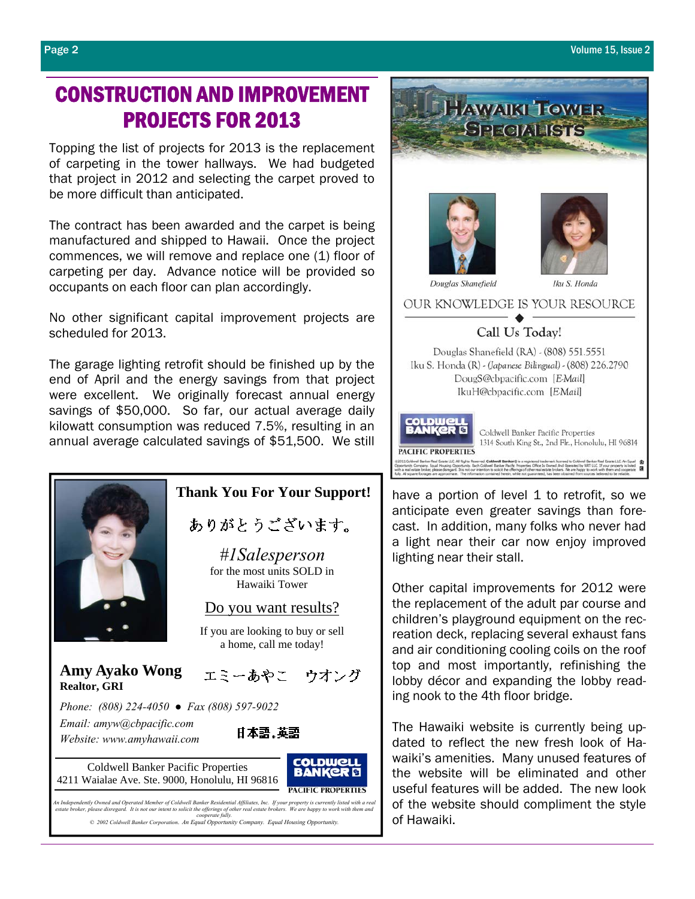## CONSTRUCTION AND IMPROVEMENT PROJECTS FOR 2013

Topping the list of projects for 2013 is the replacement of carpeting in the tower hallways. We had budgeted that project in 2012 and selecting the carpet proved to be more difficult than anticipated.

The contract has been awarded and the carpet is being manufactured and shipped to Hawaii. Once the project commences, we will remove and replace one (1) floor of carpeting per day. Advance notice will be provided so occupants on each floor can plan accordingly.

No other significant capital improvement projects are scheduled for 2013.

The garage lighting retrofit should be finished up by the end of April and the energy savings from that project were excellent. We originally forecast annual energy savings of \$50,000. So far, our actual average daily kilowatt consumption was reduced 7.5%, resulting in an annual average calculated savings of \$51,500. We still

## **Thank You For Your Support!**

ありがとうございます。

*#1Salesperson*  for the most units SOLD in Hawaiki Tower

## Do you want results?

If you are looking to buy or sell a home, call me today!

エミーあやこ ウオング

**COLDWELL** 

**PACIFIC PROPERTIES** 

 *Phone: (808) 224-4050 ● Fax (808) 597-9022 Email: amyw@cbpacific.com*  日本語.英語  *Website: www.amyhawaii.com*

**Amy Ayako Wong**

**Realtor, GRI**

Coldwell Banker Pacific Properties 4211 Waialae Ave. Ste. 9000, Honolulu, HI 96816

An Independently Owned and Operated Member of Coldwell Banker Residential Affiliates, Inc. If your property is currently listed with a real<br>estate broker, please disregard. It is not our intent to solicit the offerings of *© 2002 Coldwell Banker Corporation*. *An Equal Opportunity Company. Equal Housing Opportunity.* 

Call Us Today! Douglas Shanefield (RA) - (808) 551.5551 Iku S. Honda (R) - (Japanese Bilingual) - (808) 226.2790 DougS@cbpacific.com [EMail]

OUR KNOWLEDGE IS YOUR RESOURCE

Iku S. Honda

Douglas Shanefield

HAWAIKI TOWER **SPECIALISTS** 

IkuH@cbpacific.com [EMail]



have a portion of level 1 to retrofit, so we anticipate even greater savings than forecast. In addition, many folks who never had a light near their car now enjoy improved lighting near their stall.

Other capital improvements for 2012 were the replacement of the adult par course and children's playground equipment on the recreation deck, replacing several exhaust fans and air conditioning cooling coils on the roof top and most importantly, refinishing the lobby décor and expanding the lobby reading nook to the 4th floor bridge.

The Hawaiki website is currently being updated to reflect the new fresh look of Hawaiki's amenities. Many unused features of the website will be eliminated and other useful features will be added. The new look of the website should compliment the style of Hawaiki.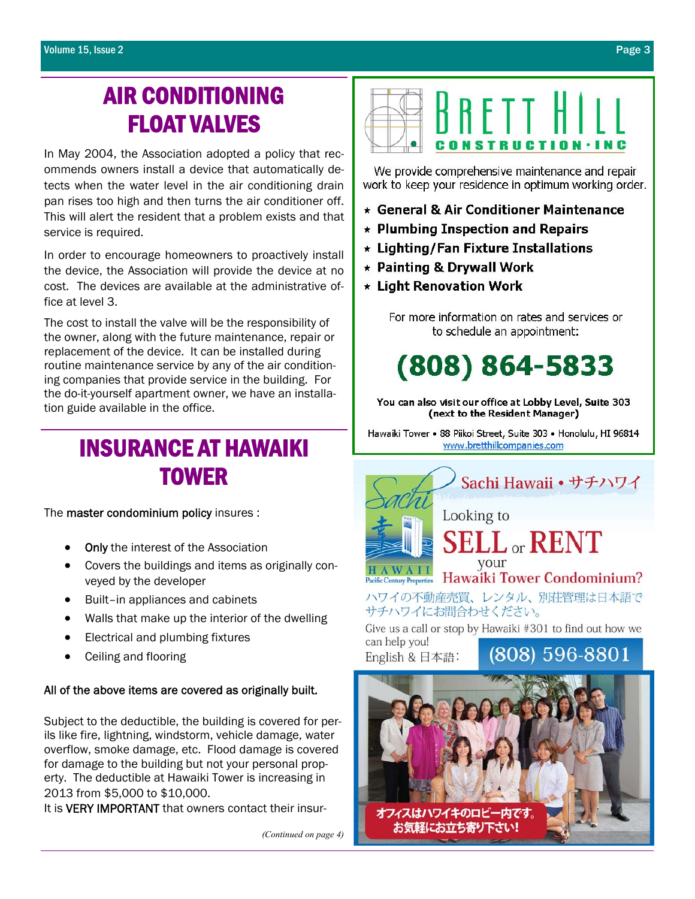# AIR CONDITIONING FLOAT VALVES

In May 2004, the Association adopted a policy that recommends owners install a device that automatically detects when the water level in the air conditioning drain pan rises too high and then turns the air conditioner off. This will alert the resident that a problem exists and that service is required.

In order to encourage homeowners to proactively install the device, the Association will provide the device at no cost. The devices are available at the administrative office at level 3.

The cost to install the valve will be the responsibility of the owner, along with the future maintenance, repair or replacement of the device. It can be installed during routine maintenance service by any of the air conditioning companies that provide service in the building. For the do-it-yourself apartment owner, we have an installation guide available in the office.

# INSURANCE AT HAWAIKI TOWER

The master condominium policy insures :

- Only the interest of the Association
- Covers the buildings and items as originally conveyed by the developer
- Built–in appliances and cabinets
- Walls that make up the interior of the dwelling
- Electrical and plumbing fixtures
- Ceiling and flooring

#### All of the above items are covered as originally built.

Subject to the deductible, the building is covered for perils like fire, lightning, windstorm, vehicle damage, water overflow, smoke damage, etc. Flood damage is covered for damage to the building but not your personal property. The deductible at Hawaiki Tower is increasing in 2013 from \$5,000 to \$10,000.

It is **VERY IMPORTANT** that owners contact their insur-

*(Continued on page 4)* 



We provide comprehensive maintenance and repair work to keep your residence in optimum working order.

- ★ General & Air Conditioner Maintenance
- $\star$  Plumbing Inspection and Repairs
- \* Lighting/Fan Fixture Installations
- \* Painting & Drywall Work
- $\star$  Light Renovation Work

For more information on rates and services or to schedule an appointment:

 $(808) 864 - 5833$ 

You can also visit our office at Lobby Level, Suite 303 (next to the Resident Manager)

Hawaiki Tower • 88 Piikoi Street, Suite 303 • Honolulu, HI 96814 www.bretthillcompanies.com